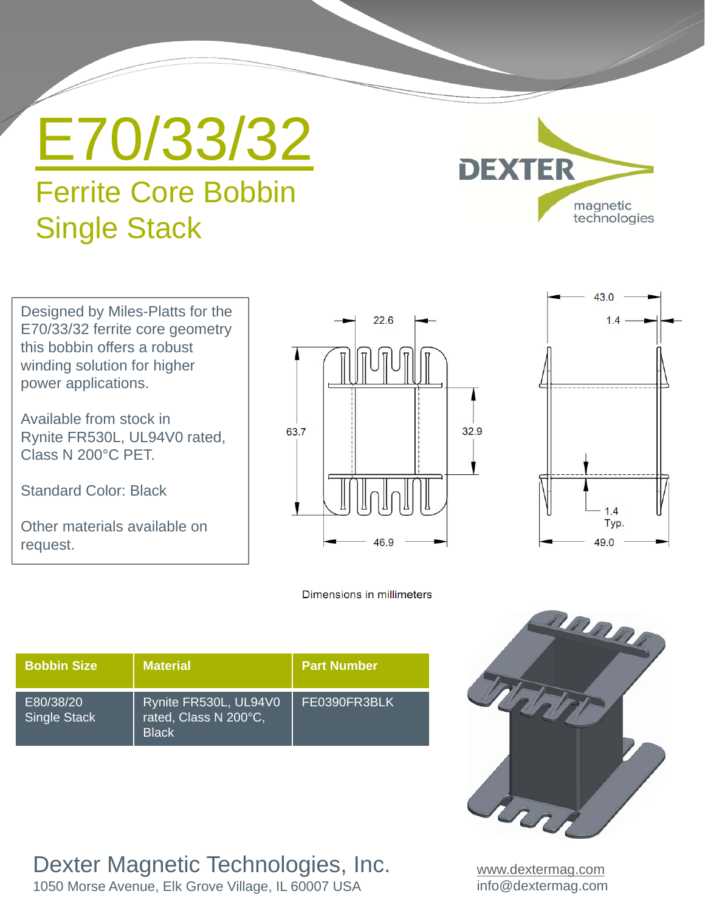E70/33/32

# Ferrite Core Bobbin Single Stack



Designed by Miles-Platts for the E70/33/32 ferrite core geometry this bobbin offers a robust winding solution for higher power applications.

Available from stock in Rynite FR530L, UL94V0 rated, Class N 200°C PET.

Standard Color: Black

Other materials available on request.



#### Dimensions in millimeters

| <b>Bobbin Size</b>        | <b>Material</b>                                                | <b>Part Number</b> |
|---------------------------|----------------------------------------------------------------|--------------------|
| E80/38/20<br>Single Stack | Rynite FR530L, UL94V0<br>rated, Class N 200°C,<br><b>Black</b> | FE0390FR3BLK       |

Dexter Magnetic Technologies, Inc.

1050 Morse Avenue, Elk Grove Village, IL 60007 USA



www.dextermag.com info@dextermag.com

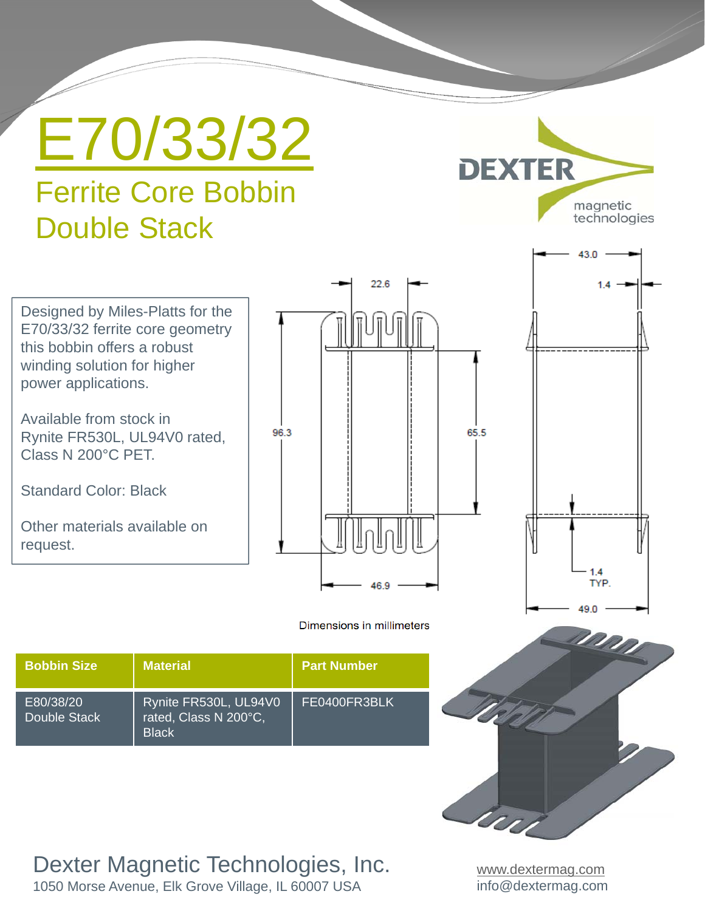E70/33/32

# Ferrite Core Bobbin Double Stack



Designed by Miles-Platts for the E70/33/32 ferrite core geometry this bobbin offers a robust winding solution for higher power applications.

Available from stock in Rynite FR530L, UL94V0 rated, Class N 200°C PET.

Standard Color: Black

Other materials available on request.





Dimensions in millimeters

| <b>Bobbin Size</b>        | <b>Material</b>                                                | <b>Part Number</b> |
|---------------------------|----------------------------------------------------------------|--------------------|
| E80/38/20<br>Double Stack | Rynite FR530L, UL94V0<br>rated, Class N 200°C,<br><b>Black</b> | FE0400FR3BLK       |

### Dexter Magnetic Technologies, Inc.

1050 Morse Avenue, Elk Grove Village, IL 60007 USA

www.dextermag.com info@dextermag.com

U